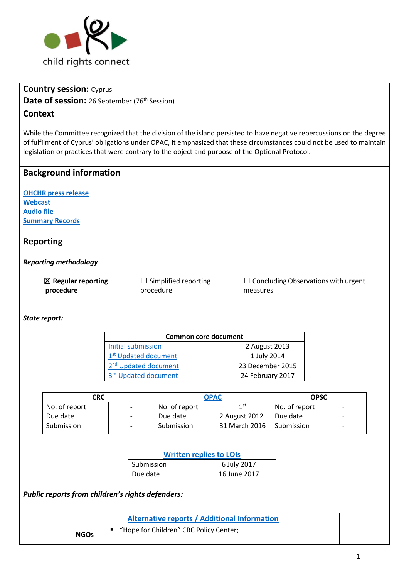

# **Country session:** Cyprus Date of session: 26 September (76<sup>th</sup> Session)

## **Context**

While the Committee recognized that the division of the island persisted to have negative repercussions on the degree of fulfilment of Cyprus' obligations under OPAC, it emphasized that these circumstances could not be used to maintain legislation or practices that were contrary to the object and purpose of the Optional Protocol.

# **Background information**

**[OHCHR press release](http://www.ohchr.org/EN/NewsEvents/Pages/DisplayNews.aspx?NewsID=22160&LangID=E) [Webcast](http://webtv.un.org/meetings-events/human-rights-treaty-bodies/committee-on-the-rights-of-the-child/watch/consideration-of-cyprus-opac-2244th-meeting-76th-session-committee-on-the-rights-of-the-child/5588947647001) [Audio file](http://conf.unog.ch/digitalrecordings/) [Summary Records](http://tbinternet.ohchr.org/_layouts/treatybodyexternal/Download.aspx?symbolno=CRC%2fC%2fSR.2244&Lang=en)**

## **Reporting**

#### *Reporting methodology*

| $\boxtimes$ Regular reporting | $\Box$ Simplified reporting |
|-------------------------------|-----------------------------|
| procedure                     | procedure                   |

☐ Concluding Observations with urgent measures

*State report:*

| Common core document             |                  |  |
|----------------------------------|------------------|--|
| Initial submission               | 2 August 2013    |  |
| 1 <sup>st</sup> Updated document | 1 July 2014      |  |
| 2 <sup>nd</sup> Updated document | 23 December 2015 |  |
| 3rd Updated document             | 24 February 2017 |  |

| CRC           |                          | OPAC          |               | <b>OPSC</b>   |                          |
|---------------|--------------------------|---------------|---------------|---------------|--------------------------|
| No. of report | $\overline{\phantom{a}}$ | No. of report | 1st           | No. of report | -                        |
| Due date      | $\overline{\phantom{a}}$ | Due date      | 2 August 2012 | Due date      | -                        |
| Submission    | $\overline{\phantom{0}}$ | Submission    | 31 March 2016 | Submission    | $\overline{\phantom{0}}$ |

| <b>Written replies to LOIs</b> |              |  |
|--------------------------------|--------------|--|
| Submission                     | 6 July 2017  |  |
| Due date                       | 16 June 2017 |  |

*Public reports from children's rights defenders:*

|             | <b>Alternative reports / Additional Information</b> |  |
|-------------|-----------------------------------------------------|--|
| <b>NGOs</b> | "Hope for Children" CRC Policy Center;              |  |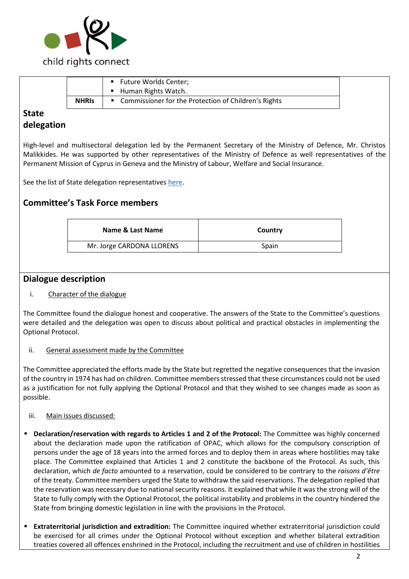

|              |              | Future Worlds Center;                                  |
|--------------|--------------|--------------------------------------------------------|
|              |              | Human Rights Watch.                                    |
|              | <b>NHRIS</b> | ■ Commissioner for the Protection of Children's Rights |
| <b>State</b> |              |                                                        |

# **delegation**

High-level and multisectoral delegation led by the Permanent Secretary of the Ministry of Defence, Mr. Christos Malikkides. He was supported by other representatives of the Ministry of Defence as well representatives of the Permanent Mission of Cyprus in Geneva and the Ministry of Labour, Welfare and Social Insurance.

See the list of State delegation representative[s here.](http://tbinternet.ohchr.org/_layouts/treatybodyexternal/Download.aspx?symbolno=INT%2fCRC-OP-AC%2fLOP%2fCYP%2f28998&Lang=en)

# **Committee's Task Force members**

| Country |
|---------|
| Spain   |
|         |

### **Dialogue description**

#### i. Character of the dialogue

The Committee found the dialogue honest and cooperative. The answers of the State to the Committee's questions were detailed and the delegation was open to discuss about political and practical obstacles in implementing the Optional Protocol.

#### ii. General assessment made by the Committee

The Committee appreciated the efforts made by the State but regretted the negative consequences that the invasion of the country in 1974 has had on children. Committee members stressed that these circumstances could not be used as a justification for not fully applying the Optional Protocol and that they wished to see changes made as soon as possible.

#### iii. Main issues discussed:

- **Declaration/reservation with regards to Articles 1 and 2 of the Protocol:** The Committee was highly concerned about the declaration made upon the ratification of OPAC, which allows for the compulsory conscription of persons under the age of 18 years into the armed forces and to deploy them in areas where hostilities may take place. The Committee explained that Articles 1 and 2 constitute the backbone of the Protocol. As such, this declaration, which *de facto* amounted to a reservation, could be considered to be contrary to the *raisons d'être* of the treaty. Committee members urged the State to withdraw the said reservations. The delegation replied that the reservation was necessary due to national security reasons. It explained that while it was the strong will of the State to fully comply with the Optional Protocol, the political instability and problems in the country hindered the State from bringing domestic legislation in line with the provisions in the Protocol.
- **Extraterritorial jurisdiction and extradition:** The Committee inquired whether extraterritorial jurisdiction could be exercised for all crimes under the Optional Protocol without exception and whether bilateral extradition treaties covered all offences enshrined in the Protocol, including the recruitment and use of children in hostilities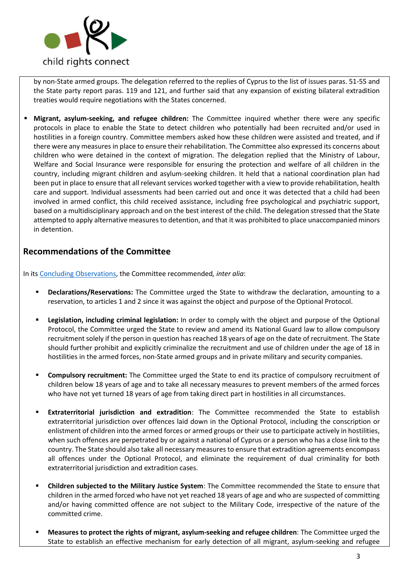

by non-State armed groups. The delegation referred to the replies of Cyprus to the list of issues paras. 51-55 and the State party report paras. 119 and 121, and further said that any expansion of existing bilateral extradition treaties would require negotiations with the States concerned.

**Migrant, asylum-seeking, and refugee children:** The Committee inquired whether there were any specific protocols in place to enable the State to detect children who potentially had been recruited and/or used in hostilities in a foreign country. Committee members asked how these children were assisted and treated, and if there were any measures in place to ensure their rehabilitation. The Committee also expressed its concerns about children who were detained in the context of migration. The delegation replied that the Ministry of Labour, Welfare and Social Insurance were responsible for ensuring the protection and welfare of all children in the country, including migrant children and asylum-seeking children. It held that a national coordination plan had been put in place to ensure that all relevant services worked together with a view to provide rehabilitation, health care and support. Individual assessments had been carried out and once it was detected that a child had been involved in armed conflict, this child received assistance, including free psychological and psychiatric support, based on a multidisciplinary approach and on the best interest of the child. The delegation stressed that the State attempted to apply alternative measures to detention, and that it was prohibited to place unaccompanied minors in detention.

## **Recommendations of the Committee**

In it[s Concluding Observations,](http://tbinternet.ohchr.org/_layouts/treatybodyexternal/Download.aspx?symbolno=CRC%2fC%2fOPAC%2fCYP%2fCO%2f1&Lang=en) the Committee recommended*, inter alia*:

- **Declarations/Reservations:** The Committee urged the State to withdraw the declaration, amounting to a reservation, to articles 1 and 2 since it was against the object and purpose of the Optional Protocol.
- **Example 1** Legislation, including criminal legislation: In order to comply with the object and purpose of the Optional Protocol, the Committee urged the State to review and amend its National Guard law to allow compulsory recruitment solely if the person in question has reached 18 years of age on the date of recruitment. The State should further prohibit and explicitly criminalize the recruitment and use of children under the age of 18 in hostilities in the armed forces, non-State armed groups and in private military and security companies.
- **EX Compulsory recruitment:** The Committee urged the State to end its practice of compulsory recruitment of children below 18 years of age and to take all necessary measures to prevent members of the armed forces who have not yet turned 18 years of age from taking direct part in hostilities in all circumstances.
- **Extraterritorial jurisdiction and extradition**: The Committee recommended the State to establish extraterritorial jurisdiction over offences laid down in the Optional Protocol, including the conscription or enlistment of children into the armed forces or armed groups or their use to participate actively in hostilities, when such offences are perpetrated by or against a national of Cyprus or a person who has a close link to the country. The State should also take all necessary measures to ensure that extradition agreements encompass all offences under the Optional Protocol, and eliminate the requirement of dual criminality for both extraterritorial jurisdiction and extradition cases.
- **Children subjected to the Military Justice System:** The Committee recommended the State to ensure that children in the armed forced who have not yet reached 18 years of age and who are suspected of committing and/or having committed offence are not subject to the Military Code, irrespective of the nature of the committed crime.
- **Measures to protect the rights of migrant, asylum-seeking and refugee children**: The Committee urged the State to establish an effective mechanism for early detection of all migrant, asylum-seeking and refugee